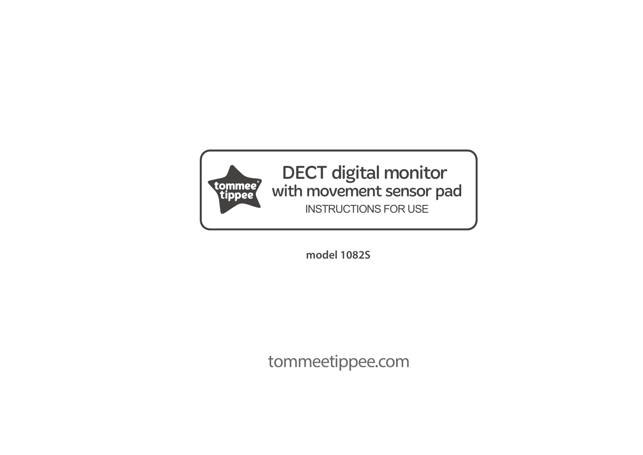

DECT digital monitor with movement sensor pad INSTRUCTIONS FOR USE

**model 1082S**

tommeetippee.com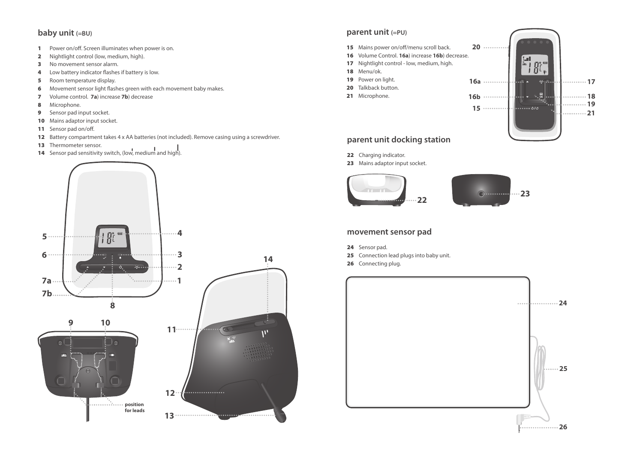# **baby unit (=BU)**

- 1 Power on/off. Screen illuminates when power is on.
- 2 Nightlight control (low, medium, high).
- 3 No movement sensor alarm.
- 4 Low battery indicator flashes if battery is low.
- **5** Room temperature display.
- 6 Movement sensor light flashes green with each movement baby makes.
- 7 Volume control. **7a**) increase **7b**) decrease
- 8 Microphone.
- 9 Sensor pad input socket.
- 10 Mains adaptor input socket.
- 11 Sensor pad on/off.
- 12 Battery compartment takes 4 x AA batteries (not included). Remove casing using a screwdriver.
- 13 Thermometer sensor.
- 14 Sensor pad sensitivity switch, (low, medium and high).



## **parent unit (=PU)**

- 15 Mains power on/off/menu scroll back.
- 16 Volume Control. **16a**) increase **16b**) decrease.
- 17 Nightlight control low, medium, high.
- 18 Menu/ok.
- 19 Power on light.
- 20 Talkback button.
- 21 Microphone.



# **parent unit docking station**

- 22 Charging indicator.
- 23 Mains adaptor input socket.



# **movement sensor pad**

- 24 Sensor pad.
- 25 Connection lead plugs into baby unit.
- 26 Connecting plug.

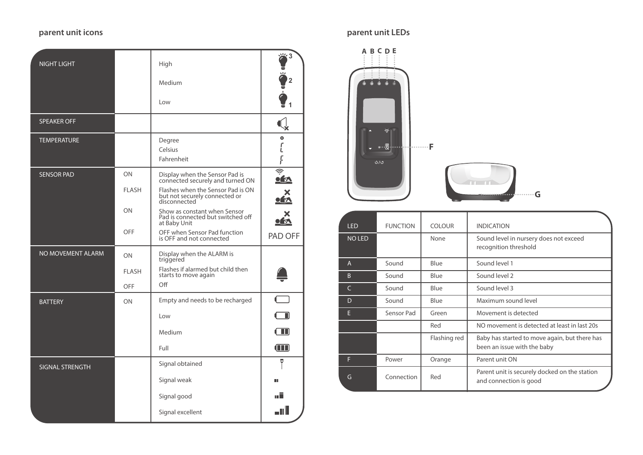# **parent unit icons parent unit LEDs**

| <b>NIGHT LIGHT</b>       |              | High                                                                               | $\ddot{q}^3$                |
|--------------------------|--------------|------------------------------------------------------------------------------------|-----------------------------|
|                          |              | Medium                                                                             |                             |
|                          |              | Low                                                                                |                             |
| <b>SPEAKER OFF</b>       |              |                                                                                    |                             |
| <b>TEMPERATURE</b>       |              | Degree<br>Celsius<br>Fahrenheit                                                    | $\bullet$<br>L<br>F         |
| <b>SENSOR PAD</b>        | ON           | Display when the Sensor Pad is<br>connected securely and turned ON                 | $\frac{1}{2}$<br><u>ofn</u> |
|                          | <b>FLASH</b> | Flashes when the Sensor Pad is ON<br>but not securely connected or<br>disconnected | <b>IN</b>                   |
|                          | ON           | Show as constant when Sensor<br>Pad is connected but switched off<br>at Baby Unit  |                             |
|                          | OFF          | OFF when Sensor Pad function<br>is OFF and not connected                           | PAD OFF                     |
| <b>NO MOVEMENT ALARM</b> | ON           | Display when the ALARM is<br>triggered                                             |                             |
|                          | <b>FLASH</b> | Flashes if alarmed but child then<br>starts to move again                          |                             |
|                          | OFF          | Off                                                                                |                             |
| <b>BATTERY</b>           | ON           | Empty and needs to be recharged                                                    | $\Box$                      |
|                          |              | Low                                                                                |                             |
|                          |              | Medium                                                                             | H I                         |
|                          |              | Full                                                                               | $(\blacksquare)$            |
| <b>SIGNAL STRENGTH</b>   |              | Signal obtained                                                                    | Ψ                           |
|                          |              | Signal weak                                                                        | m                           |
|                          |              | Signal good                                                                        | ┉║                          |
|                          |              | Signal excellent                                                                   | I                           |



| <b>LED</b>    | <b>FUNCTION</b> | <b>COLOUR</b> | <b>INDICATION</b>                                                            |
|---------------|-----------------|---------------|------------------------------------------------------------------------------|
| <b>NO LED</b> |                 | None          | Sound level in nursery does not exceed<br>recognition threshold              |
| A             | Sound           | Blue          | Sound level 1                                                                |
| B             | Sound           | Blue          | Sound level 2                                                                |
| $\epsilon$    | Sound           | Blue          | Sound level 3                                                                |
| D             | Sound           | Blue          | Maximum sound level                                                          |
| E             | Sensor Pad      | Green         | Movement is detected                                                         |
|               |                 | Red           | NO movement is detected at least in last 20s                                 |
|               |                 | Flashing red  | Baby has started to move again, but there has<br>been an issue with the baby |
| F             | Power           | Orange        | Parent unit ON                                                               |
| G             | Connection      | Red           | Parent unit is securely docked on the station<br>and connection is good      |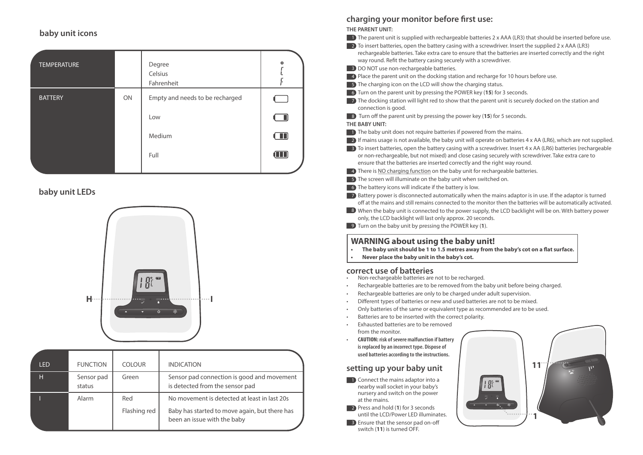## **baby unit icons**

| <b>TEMPERATURE</b> |    | Degree<br>Celsius<br>Fahrenheit | $\circ$ |
|--------------------|----|---------------------------------|---------|
| <b>BATTERY</b>     | ON | Empty and needs to be recharged |         |
|                    |    | Low                             | $\Box$  |
|                    |    | Medium                          | $\Box$  |
|                    |    | Full                            | W       |
|                    |    |                                 |         |

# **baby unit LEDs**



| I FD. | <b>FUNCTION</b>      | <b>COLOUR</b> | <b>INDICATION</b>                                                             |
|-------|----------------------|---------------|-------------------------------------------------------------------------------|
| н     | Sensor pad<br>status | Green         | Sensor pad connection is good and movement<br>is detected from the sensor pad |
|       | Alarm                | Red           | No movement is detected at least in last 20s                                  |
|       |                      | Flashing red  | Baby has started to move again, but there has<br>been an issue with the baby  |

# charging your monitor before first use:

**THE PARENT UNIT:**

- The parent unit is supplied with rechargeable batteries 2 x AAA (LR3) that should be inserted before use.
- $\Box$  2) To insert batteries, open the battery casing with a screwdriver. Insert the supplied 2 x AAA (LR3)
	- rechargeable batteries. Take extra care to ensure that the batteries are inserted correctly and the right way round. Refit the battery casing securely with a screwdriver.
- **3** DO NOT use non-rechargeable batteries.
- **4)** Place the parent unit on the docking station and recharge for 10 hours before use.
- **5** The charging icon on the LCD will show the charging status.
- **6** Turn on the parent unit by pressing the POWER key (15) for 3 seconds.
- **The docking station will light red to show that the parent unit is securely docked on the station and** connection is good.
- **8** Turn off the parent unit by pressing the power key (15) for 5 seconds.

#### **THE BABY UNIT:**

- **1** The baby unit does not require batteries if powered from the mains.
- $\Omega$  If mains usage is not available, the baby unit will operate on batteries 4 x AA (LR6), which are not supplied.
- $\Box$  3) To insert batteries, open the battery casing with a screwdriver. Insert 4 x AA (LR6) batteries (rechargeable or non-rechargeable, but not mixed) and close casing securely with screwdriver. Take extra care to ensure that the batteries are inserted correctly and the right way round.
- **4** There is <u>NO charging function</u> on the baby unit for rechargeable batteries.
- **5** The screen will illuminate on the baby unit when switched on.
- 6 The battery icons will indicate if the battery is low.

**7** Battery power is disconnected automatically when the mains adaptor is in use. If the adaptor is turned off at the mains and still remains connected to the monitor then the batteries will be automatically activated.

8 When the baby unit is connected to the power supply, the LCD backlight will be on. With battery power only, the LCD backlight will last only approx. 20 seconds.

Turn on the baby unit by pressing the POWER key (**1**). 9

# **WARNING about using the baby unit!**

- The baby unit should be 1 to 1.5 metres away from the baby's cot on a flat surface.
- **Never place the baby unit in the baby's cot.**

## **correct use of batteries**

- Non-rechargeable batteries are not to be recharged.
- Rechargeable batteries are to be removed from the baby unit before being charged.
- Rechargeable batteries are only to be charged under adult supervision.
- Different types of batteries or new and used batteries are not to be mixed.
- Only batteries of the same or equivalent type as recommended are to be used.
- Batteries are to be inserted with the correct polarity.
- Exhausted batteries are to be removed from the monitor.
- **CAUTION: risk of severe malfunction if battery is replaced by an incorrect type. Dispose of used batteries according to the instructions.**

# **setting up your baby unit**

- **1** Connect the mains adaptor into a nearby wall socket in your baby's nursery and switch on the power at the mains.
- **2** Press and hold (1) for 3 seconds until the LCD/Power LED illuminates.
- **B** Ensure that the sensor pad on-off switch (**11**) is turned OFF.

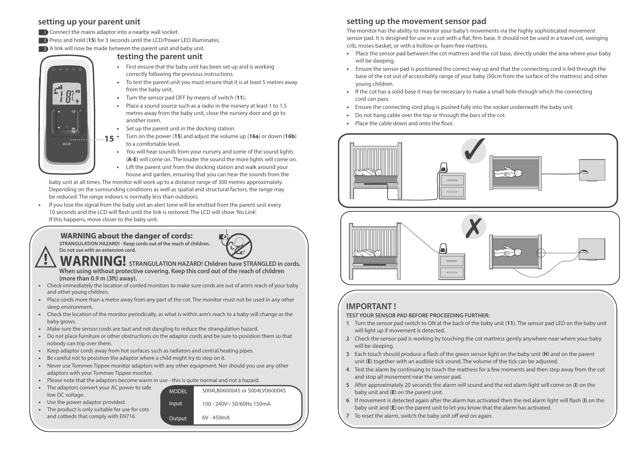#### **setting up your parent unit**

**1** Connect the mains adaptor into a nearby wall socket.

**2** Press and hold (15) for 3 seconds until the LCD/Power LED illuminates.

**B** A link will now be made between the parent unit and baby unit.

#### **testing the parent unit**

- First ensure that the baby unit has been set up and is working correctly following the previous instructions.
- To test the parent unit you must ensure that it is at least 5 metres away from the baby unit.
- Turn the sensor pad OFF by means of switch (**11**).
- Place a sound source such as a radio in the nursery at least 1 to 1.5 metres away from the baby unit, close the nursery door and go to another room.
- Set up the parent unit in the docking station.
- Turn on the power (**15**) and adjust the volume up (**16a**) or down (**16b**) to a comfortable level.  $15<sup>4</sup>$ 
	- You will hear sounds from your nursery and some of the sound lights (**A-E**) will come on. The louder the sound the more lights will come on.
	- Lift the parent unit from the docking station and walk around your house and garden, ensuring that you can hear the sounds from the

 baby unit at all times. The monitor will work up to a distance range of 300 metres approximately. Depending on the surrounding conditions as well as spatial and structural factors, the range may be reduced. The range indoors is normally less than outdoors.

• If you lose the signal from the baby unit an alert tone will be emitted from the parent unit every 10 seconds and the LCD will flash until the link is restored. The LCD will show 'No Link'. If this happens, move closer to the baby unit.

**<b>WARNING about the danger of cords:** *STRANGULATION HAZARD!* - Keep cords out of the reach of children.

 **Do not use with an extension cord.**

 $\phi/\phi$ 

**!**

- **WARNING! STRANGULATION HAZARD! Children have STRANGLED in cords. When using without protective covering. Keep this cord out of the reach of children (more than 0.9 m (3ft) away).**
- Check immediately the location of corded monitors to make sure cords are out of arm's reach of your baby and other young children.
- Place cords more than a metre away from any part of the cot. The monitor must not be used in any other sleep environment.
- Check the location of the monitor periodically, as what is within arm's reach to a baby will change as the baby grows.
- Make sure the sensor cords are taut and not dangling to reduce the strangulation hazard.
- Do not place furniture or other obstructions on the adaptor cords and be sure to posistion them so that nobody can trip over them.
- Keep adaptor cords away from hot surfaces such as radiators and central heating pipes.
- Be careful not to posistion the adaptor where a child might try to step on it.
- Never use Tommee Tippee monitor adaptors with any other equipment. Nor should you use any other adaptors with your Tommee Tippee monitor.

MODEL Input **Output** 

- Please note that the adaptors become warm in use this is quite normal and not a hazard.
- The adaptors convert your AC power to safe low DC voltage.
- Use the power adaptor provided.
- The product is only suitable for use for cots and cotbeds that comply with EN716



The monitor has the ability to monitor your baby's movements via the highly sophisticated movement sensor pad. It is designed for use in a cot with a flat, firm base. It should not be used in a travel cot, swinging crib, moses basket, or with a hollow or foam-free mattress.

- Place the sensor pad between the cot mattress and the cot base, directly under the area where your baby will be sleeping.
- Ensure the sensor pad is positioned the correct way up and that the connecting cord is fed through the base of the cot out of accessibility range of your baby (50cm from the surface of the mattress) and other young children.
- If the cot has a solid base it may be necessary to make a small hole through which the connecting cord can pass.
- Ensure the connecting cord plug is pushed fully into the socket underneath the baby unit.
- Do not hang cable over the top or through the bars of the cot.
- Place the cable down and onto the floor.





# **IMPORTANT !**

#### **TEST YOUR SENSOR PAD BEFORE PROCEEDING FURTHER:**

- **1** Turn the sensor pad switch to ON at the back of the baby unit (**11**). The sensor pad LED on the baby unit will light up if movement is detected.
- **2** Check the sensor pad is working by touching the cot mattress gently anywhere near where your baby will be sleeping.
- **3** Each touch should produce a flash of the green sensor light on the baby unit (H) and on the parent unit (**E**) together with an audible tick sound. The volume of the tick can be adjusted.
- **4** Test the alarm by continuing to touch the mattress for a few moments and then step away from the cot and stop all movement near the sensor pad.
- **5** After approximately 20 seconds the alarm will sound and the red alarm light will come on (**I**) on the baby unit and (**E**) on the parent unit.
- **6** If movement is detected again after the alarm has activated then the red alarm light will flash (I) on the baby unit and (**E**) on the parent unit to let you know that the alarm has activated.
- To reset the alarm, switch the baby unit off and on again.

100 - 240V~ 50/60Hz 150mA

S004LB0600045 or S004LV0600045

 $6V - 450mA$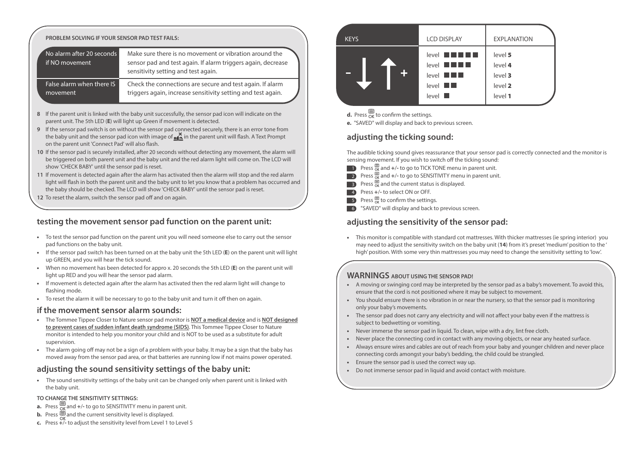#### **PROBLEM SOLVING IF YOUR SENSOR PAD TEST FAILS:**

| No alarm after 20 seconds<br>if NO movement | Make sure there is no movement or vibration around the<br>sensor pad and test again. If alarm triggers again, decrease<br>sensitivity setting and test again. |
|---------------------------------------------|---------------------------------------------------------------------------------------------------------------------------------------------------------------|
| False alarm when there IS                   | Check the connections are secure and test again. If alarm                                                                                                     |
| movement                                    | triggers again, increase sensitivity setting and test again.                                                                                                  |

- **8** If the parent unit is linked with the baby unit successfully, the sensor pad icon will indicate on the parent unit. The 5th LED (**E**) will light up Green if movement is detected.
- **9** If the sensor pad switch is on without the sensor pad connected securely, there is an error tone from the baby unit and the sensor pad icon with image of  $\bullet$  in the parent unit will flash. A Text Prompt on the parent unit 'Connect Pad' will also flash.
- **10** If the sensor pad is securely installed, after 20 seconds without detecting any movement, the alarm will be triggered on both parent unit and the baby unit and the red alarm light will come on. The LCD will show 'CHECK BABY' until the sensor pad is reset.
- **11** If movement is detected again after the alarm has activated then the alarm will stop and the red alarm light will flash in both the parent unit and the baby unit to let you know that a problem has occurred and the baby should be checked. The LCD will show 'CHECK BABY' until the sensor pad is reset.
- 12 To reset the alarm, switch the sensor pad off and on again.

#### **testing the movement sensor pad function on the parent unit:**

- To test the sensor pad function on the parent unit you will need someone else to carry out the sensor pad functions on the baby unit.
- If the sensor pad switch has been turned on at the baby unit the 5th LED (**E**) on the parent unit will light up GREEN, and you will hear the tick sound.
- When no movement has been detected for appro x. 20 seconds the 5th LED (**E**) on the parent unit will light up RED and you will hear the sensor pad alarm.
- If movement is detected again after the alarm has activated then the red alarm light will change to flashing mode.
- To reset the alarm it will be necessary to go to the baby unit and turn it off then on again.

#### **if the movement sensor alarm sounds:**

- The Tommee Tippee Closer to Nature sensor pad monitor is **NOT a medical device** and is **NOT designed to prevent cases of sudden infant death syndrome (SIDS)**. This Tommee Tippee Closer to Nature monitor is intended to help you monitor your child and is NOT to be used as a substitute for adult supervision.
- The alarm going off may not be a sign of a problem with your baby. It may be a sign that the baby has moved away from the sensor pad area, or that batteries are running low if not mains power operated.

#### **adjusting the sound sensitivity settings of the baby unit:**

• The sound sensitivity settings of the baby unit can be changed only when parent unit is linked with the baby unit.

#### **TO CHANGE THE SENSITIVITY SETTINGS:**

- **a.** Press  $\mathbb{R}$  and  $+/-$  to go to SENSITIVITY menu in parent unit.
- **b.** Press  $\mathbf{a}$  and the current sensitivity level is displayed.
- **c.** Press **+**/**-** to adjust the sensitivity level from Level 1 to Level 5

| <b>KEYS</b> | <b>LCD DISPLAY</b>                                                                   | <b>EXPLANATION</b>                                  |
|-------------|--------------------------------------------------------------------------------------|-----------------------------------------------------|
| $\div$      | $level$ $  $<br>$level$ $  $ $  $<br>$level$ $  $<br>$level$ $\blacksquare$<br>level | level 5<br>level 4<br>level 3<br>level 2<br>level 1 |

**d.** Press  $\alpha$  to confirm the settings.

**e.** "SAVED" will display and back to previous screen.

### **adjusting the ticking sound:**

The audible ticking sound gives reassurance that your sensor pad is correctly connected and the monitor is sensing movement. If you wish to switch off the ticking sound:

- Press  $\mathbb{B}_{\alpha}$  and  $\pm$ /- to go to TICK TONE menu in parent unit. 1
- Press  $\mathbb{B}_{\alpha}$  and  $+$ /- to go to SENSITIVITY menu in parent unit. 2
- Press  $\frac{1}{\alpha}$  and the current status is displayed. 3
- Press **+**/**-** to select ON or OFF. 4
- Press  $\overline{\mathbb{B}}$  to confirm the settings. 5
- 6 "SAVED" will display and back to previous screen.

### **adjusting the sensitivity of the sensor pad:**

• This monitor is compatible with standard cot mattresses. With thicker mattresses (ie spring interior) you may need to adjust the sensitivity switch on the baby unit (**14**) from it's preset 'medium' position to the ' high' position. With some very thin mattresses you may need to change the sensitivity setting to 'low'.

#### **WARNINGS ABOUT USING THE SENSOR PAD!**

- A moving or swinging cord may be interpreted by the sensor pad as a baby's movement. To avoid this, ensure that the cord is not positioned where it may be subject to movement.
- You should ensure there is no vibration in or near the nursery, so that the sensor pad is monitoring only your baby's movements.
- The sensor pad does not carry any electricity and will not affect your baby even if the mattress is subject to bedwetting or vomiting.
- Never immerse the sensor pad in liquid. To clean, wipe with a dry, lint free cloth.
- Never place the connecting cord in contact with any moving objects, or near any heated surface.
- Always ensure wires and cables are out of reach from your baby and younger children and never place connecting cords amongst your baby's bedding, the child could be strangled.
- Ensure the sensor pad is used the correct way up.
- Do not immerse sensor pad in liquid and avoid contact with moisture.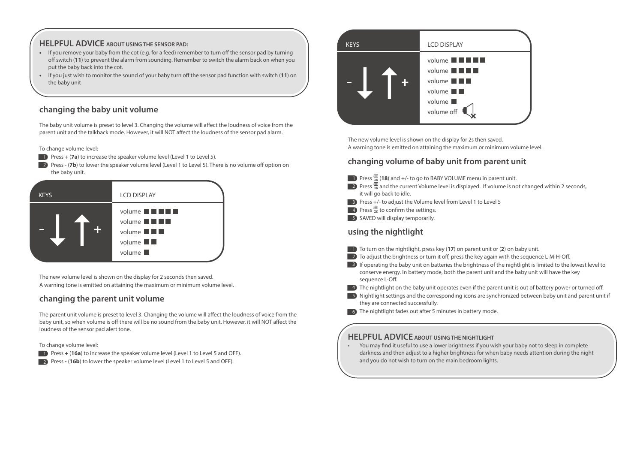#### **HELPFUL ADVICE ABOUT USING THE SENSOR PAD:**

- If you remove your baby from the cot (e.g. for a feed) remember to turn off the sensor pad by turning off switch (11) to prevent the alarm from sounding. Remember to switch the alarm back on when you put the baby back into the cot.
- If you just wish to monitor the sound of your baby turn off the sensor pad function with switch (11) on the baby unit

## **changing the baby unit volume**

The baby unit volume is preset to level 3. Changing the volume will affect the loudness of voice from the parent unit and the talkback mode. However, it will NOT affect the loudness of the sensor pad alarm.

To change volume level:

- **1** Press + (**7a**) to increase the speaker volume level (Level 1 to Level 5).
- **2** Press (**7b**) to lower the speaker volume level (Level 1 to Level 5). There is no volume off option on the baby unit.



The new volume level is shown on the display for 2 seconds then saved. A warning tone is emitted on attaining the maximum or minimum volume level.

#### **changing the parent unit volume**

The parent unit volume is preset to level 3. Changing the volume will affect the loudness of voice from the baby unit, so when volume is off there will be no sound from the baby unit. However, it will NOT affect the loudness of the sensor pad alert tone.

#### To change volume level:

- **1** Press + (16a) to increase the speaker volume level (Level 1 to Level 5 and OFF).
- 2 Press (16b) to lower the speaker volume level (Level 1 to Level 5 and OFF).



The new volume level is shown on the display for 2s then saved. A warning tone is emitted on attaining the maximum or minimum volume level.

#### **changing volume of baby unit from parent unit**

- **1** Press  $\frac{m}{\alpha}$  (18) and  $+/-$  to go to BABY VOLUME menu in parent unit.
- 2) Press  $\frac{1}{\alpha}$  and the current Volume level is displayed. If volume is not changed within 2 seconds, it will go back to idle.
- **3** Press +/- to adjust the Volume level from Level 1 to Level 5
- **4** Press  $\frac{1}{\alpha}$  to confirm the settings.
- 5 SAVED will display temporarily.

#### **using the nightlight**

- **To turn on the nightlight, press key (17) on parent unit or (2) on baby unit.**
- $\Box$  2) To adjust the brightness or turn it off, press the key again with the sequence L-M-H-Off.
- **B** If operating the baby unit on batteries the brightness of the nightlight is limited to the lowest level to conserve energy. In battery mode, both the parent unit and the baby unit will have the key sequence L-Off.
- $\blacksquare$  The nightlight on the baby unit operates even if the parent unit is out of battery power or turned off.
- **5** Nightlight settings and the corresponding icons are synchronized between baby unit and parent unit if they are connected successfully.
- 6 The nightlight fades out after 5 minutes in battery mode.

## **HELPFUL ADVICE ABOUT USING THE NIGHTLIGHT**

• You may find it useful to use a lower brightness if you wish your baby not to sleep in complete darkness and then adjust to a higher brightness for when baby needs attention during the night and you do not wish to turn on the main bedroom lights.